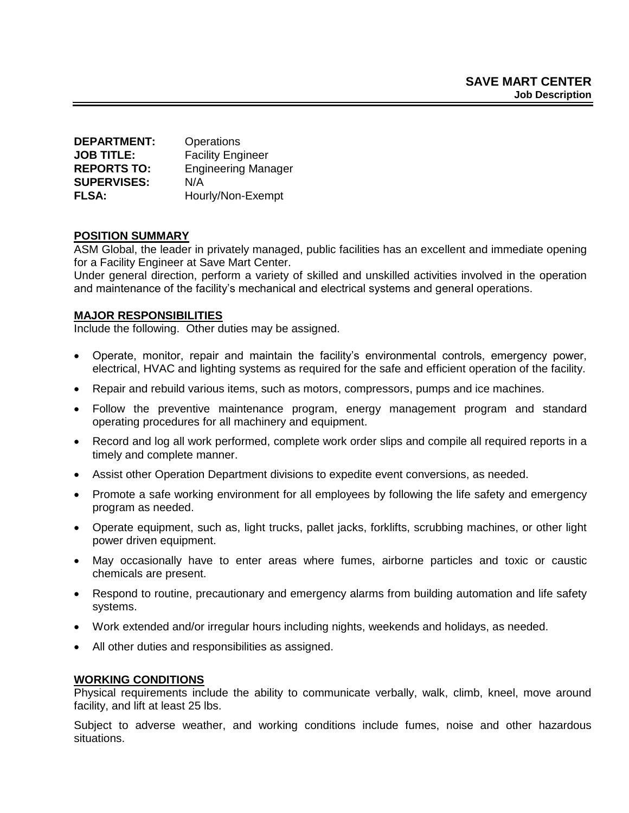| <b>DEPARTMENT:</b> | Operations                 |
|--------------------|----------------------------|
| <b>JOB TITLE:</b>  | <b>Facility Engineer</b>   |
| <b>REPORTS TO:</b> | <b>Engineering Manager</b> |
| <b>SUPERVISES:</b> | N/A                        |
| <b>FLSA:</b>       | Hourly/Non-Exempt          |

### **POSITION SUMMARY**

ASM Global, the leader in privately managed, public facilities has an excellent and immediate opening for a Facility Engineer at Save Mart Center.

Under general direction, perform a variety of skilled and unskilled activities involved in the operation and maintenance of the facility's mechanical and electrical systems and general operations.

### **MAJOR RESPONSIBILITIES**

Include the following. Other duties may be assigned.

- Operate, monitor, repair and maintain the facility's environmental controls, emergency power, electrical, HVAC and lighting systems as required for the safe and efficient operation of the facility.
- Repair and rebuild various items, such as motors, compressors, pumps and ice machines.
- Follow the preventive maintenance program, energy management program and standard operating procedures for all machinery and equipment.
- Record and log all work performed, complete work order slips and compile all required reports in a timely and complete manner.
- Assist other Operation Department divisions to expedite event conversions, as needed.
- Promote a safe working environment for all employees by following the life safety and emergency program as needed.
- Operate equipment, such as, light trucks, pallet jacks, forklifts, scrubbing machines, or other light power driven equipment.
- May occasionally have to enter areas where fumes, airborne particles and toxic or caustic chemicals are present.
- Respond to routine, precautionary and emergency alarms from building automation and life safety systems.
- Work extended and/or irregular hours including nights, weekends and holidays, as needed.
- All other duties and responsibilities as assigned.

#### **WORKING CONDITIONS**

Physical requirements include the ability to communicate verbally, walk, climb, kneel, move around facility, and lift at least 25 lbs.

Subject to adverse weather, and working conditions include fumes, noise and other hazardous situations.